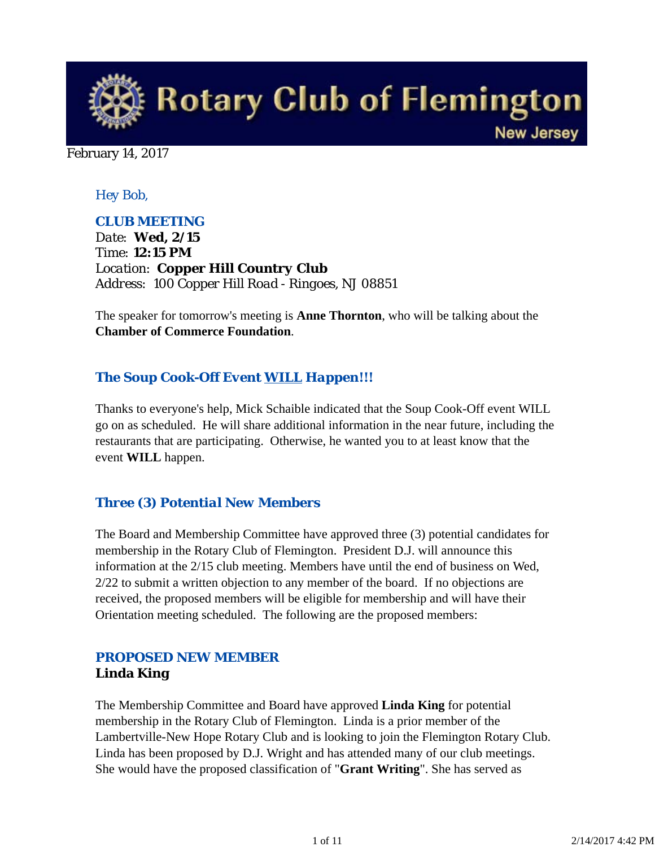

February 14, 2017

### *Hey Bob,*

#### *CLUB MEETING*

*Date: Wed, 2/15 Time: 12:15 PM Location: Copper Hill Country Club Address: 100 Copper Hill Road - Ringoes, NJ 08851*

The speaker for tomorrow's meeting is **Anne Thornton**, who will be talking about the **Chamber of Commerce Foundation**.

## *The Soup Cook-Off Event WILL Happen!!!*

Thanks to everyone's help, Mick Schaible indicated that the Soup Cook-Off event WILL go on as scheduled. He will share additional information in the near future, including the restaurants that are participating. Otherwise, he wanted you to at least know that the event **WILL** happen.

#### *Three (3) Potential New Members*

The Board and Membership Committee have approved three (3) potential candidates for membership in the Rotary Club of Flemington. President D.J. will announce this information at the 2/15 club meeting. Members have until the end of business on Wed, 2/22 to submit a written objection to any member of the board. If no objections are received, the proposed members will be eligible for membership and will have their Orientation meeting scheduled. The following are the proposed members:

# *PROPOSED NEW MEMBER* **Linda King**

The Membership Committee and Board have approved **Linda King** for potential membership in the Rotary Club of Flemington. Linda is a prior member of the Lambertville-New Hope Rotary Club and is looking to join the Flemington Rotary Club. Linda has been proposed by D.J. Wright and has attended many of our club meetings. She would have the proposed classification of "**Grant Writing**". She has served as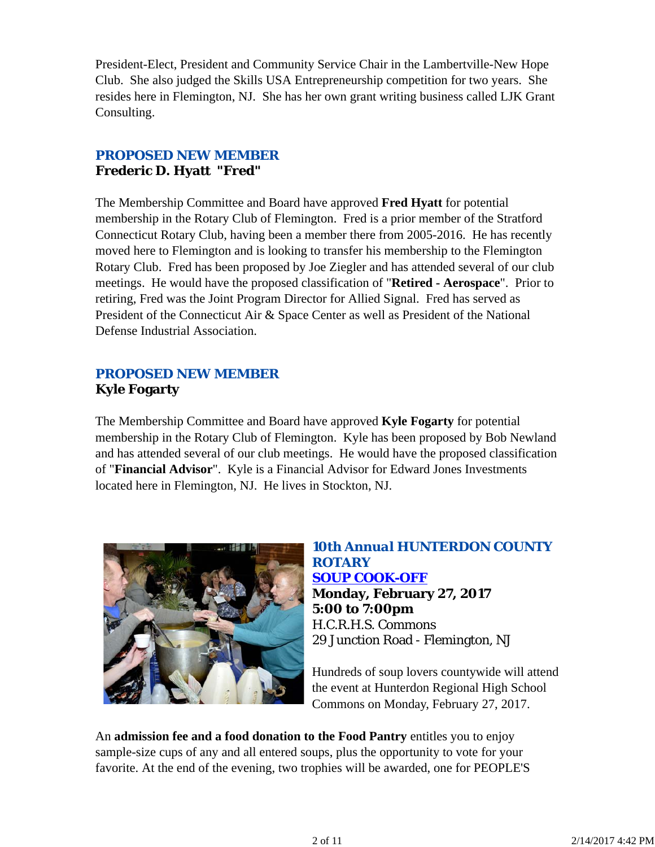President-Elect, President and Community Service Chair in the Lambertville-New Hope Club. She also judged the Skills USA Entrepreneurship competition for two years. She resides here in Flemington, NJ. She has her own grant writing business called LJK Grant Consulting.

# *PROPOSED NEW MEMBER* **Frederic D. Hyatt "Fred"**

The Membership Committee and Board have approved **Fred Hyatt** for potential membership in the Rotary Club of Flemington. Fred is a prior member of the Stratford Connecticut Rotary Club, having been a member there from 2005-2016. He has recently moved here to Flemington and is looking to transfer his membership to the Flemington Rotary Club. Fred has been proposed by Joe Ziegler and has attended several of our club meetings. He would have the proposed classification of "**Retired - Aerospace**". Prior to retiring, Fred was the Joint Program Director for Allied Signal. Fred has served as President of the Connecticut Air & Space Center as well as President of the National Defense Industrial Association.

# *PROPOSED NEW MEMBER* **Kyle Fogarty**

The Membership Committee and Board have approved **Kyle Fogarty** for potential membership in the Rotary Club of Flemington. Kyle has been proposed by Bob Newland and has attended several of our club meetings. He would have the proposed classification of "**Financial Advisor**". Kyle is a Financial Advisor for Edward Jones Investments located here in Flemington, NJ. He lives in Stockton, NJ.



# *10th Annual HUNTERDON COUNTY ROTARY SOUP COOK-OFF* **Monday, February 27, 2017 5:00 to 7:00pm** H.C.R.H.S. Commons 29 Junction Road - Flemington, NJ

Hundreds of soup lovers countywide will attend the event at Hunterdon Regional High School Commons on Monday, February 27, 2017.

An **admission fee and a food donation to the Food Pantry** entitles you to enjoy sample-size cups of any and all entered soups, plus the opportunity to vote for your favorite. At the end of the evening, two trophies will be awarded, one for PEOPLE'S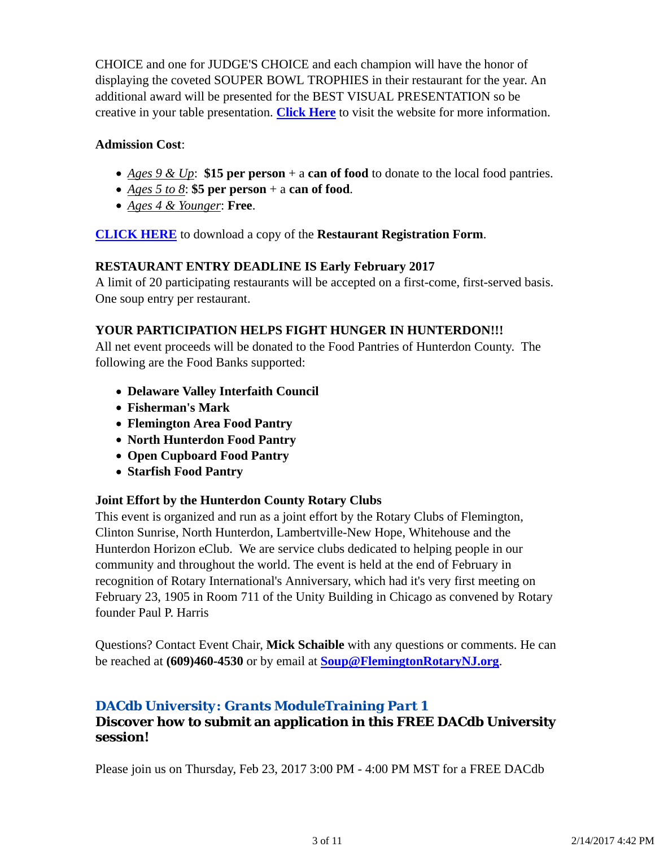CHOICE and one for JUDGE'S CHOICE and each champion will have the honor of displaying the coveted SOUPER BOWL TROPHIES in their restaurant for the year. An additional award will be presented for the BEST VISUAL PRESENTATION so be creative in your table presentation. **Click Here** to visit the website for more information.

### **Admission Cost**:

- *Ages 9 & Up*: **\$15 per person** + a **can of food** to donate to the local food pantries.
- *Ages 5 to 8*: **\$5 per person** + a **can of food**.
- *Ages 4 & Younger*: **Free**.

**CLICK HERE** to download a copy of the **Restaurant Registration Form**.

#### **RESTAURANT ENTRY DEADLINE IS Early February 2017**

A limit of 20 participating restaurants will be accepted on a first-come, first-served basis. One soup entry per restaurant.

#### **YOUR PARTICIPATION HELPS FIGHT HUNGER IN HUNTERDON!!!**

All net event proceeds will be donated to the Food Pantries of Hunterdon County. The following are the Food Banks supported:

- **Delaware Valley Interfaith Council**
- **Fisherman's Mark**
- **Flemington Area Food Pantry**
- **North Hunterdon Food Pantry**
- **Open Cupboard Food Pantry**
- **Starfish Food Pantry**

#### **Joint Effort by the Hunterdon County Rotary Clubs**

This event is organized and run as a joint effort by the Rotary Clubs of Flemington, Clinton Sunrise, North Hunterdon, Lambertville-New Hope, Whitehouse and the Hunterdon Horizon eClub. We are service clubs dedicated to helping people in our community and throughout the world. The event is held at the end of February in recognition of Rotary International's Anniversary, which had it's very first meeting on February 23, 1905 in Room 711 of the Unity Building in Chicago as convened by Rotary founder Paul P. Harris

Questions? Contact Event Chair, **Mick Schaible** with any questions or comments. He can be reached at **(609)460-4530** or by email at **Soup@FlemingtonRotaryNJ.org**.

## *DACdb University: Grants ModuleTraining Part 1*

## **Discover how to submit an application in this FREE DACdb University session!**

Please join us on Thursday, Feb 23, 2017 3:00 PM - 4:00 PM MST for a FREE DACdb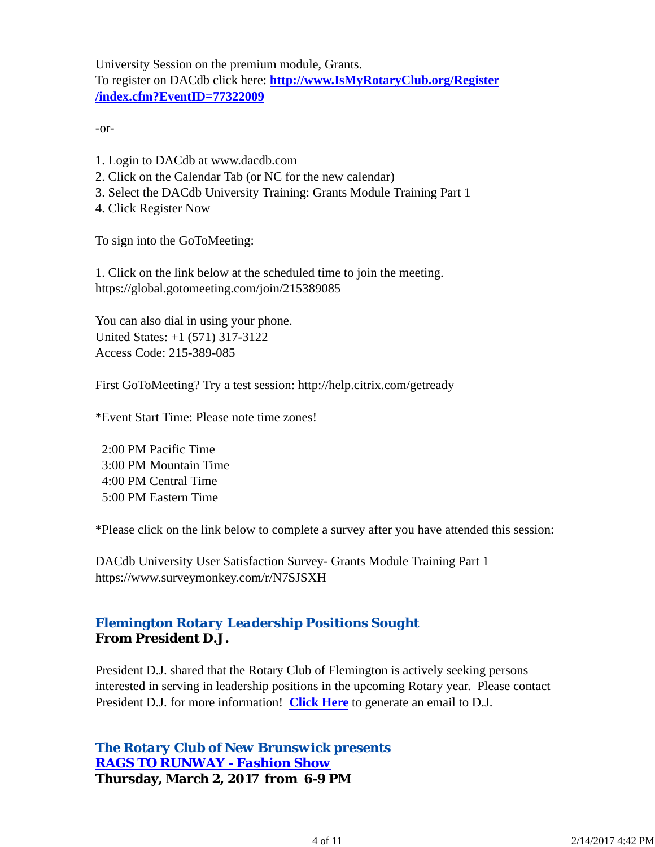University Session on the premium module, Grants. To register on DACdb click here: **http://www.IsMyRotaryClub.org/Register /index.cfm?EventID=77322009**

-or-

- 1. Login to DACdb at www.dacdb.com
- 2. Click on the Calendar Tab (or NC for the new calendar)
- 3. Select the DACdb University Training: Grants Module Training Part 1
- 4. Click Register Now

To sign into the GoToMeeting:

1. Click on the link below at the scheduled time to join the meeting. https://global.gotomeeting.com/join/215389085

You can also dial in using your phone. United States: +1 (571) 317-3122 Access Code: 215-389-085

First GoToMeeting? Try a test session: http://help.citrix.com/getready

\*Event Start Time: Please note time zones!

 2:00 PM Pacific Time 3:00 PM Mountain Time 4:00 PM Central Time 5:00 PM Eastern Time

\*Please click on the link below to complete a survey after you have attended this session:

DACdb University User Satisfaction Survey- Grants Module Training Part 1 https://www.surveymonkey.com/r/N7SJSXH

## *Flemington Rotary Leadership Positions Sought* **From President D.J.**

President D.J. shared that the Rotary Club of Flemington is actively seeking persons interested in serving in leadership positions in the upcoming Rotary year. Please contact President D.J. for more information! **Click Here** to generate an email to D.J.

*The Rotary Club of New Brunswick presents RAGS TO RUNWAY - Fashion Show* **Thursday, March 2, 2017 from 6-9 PM**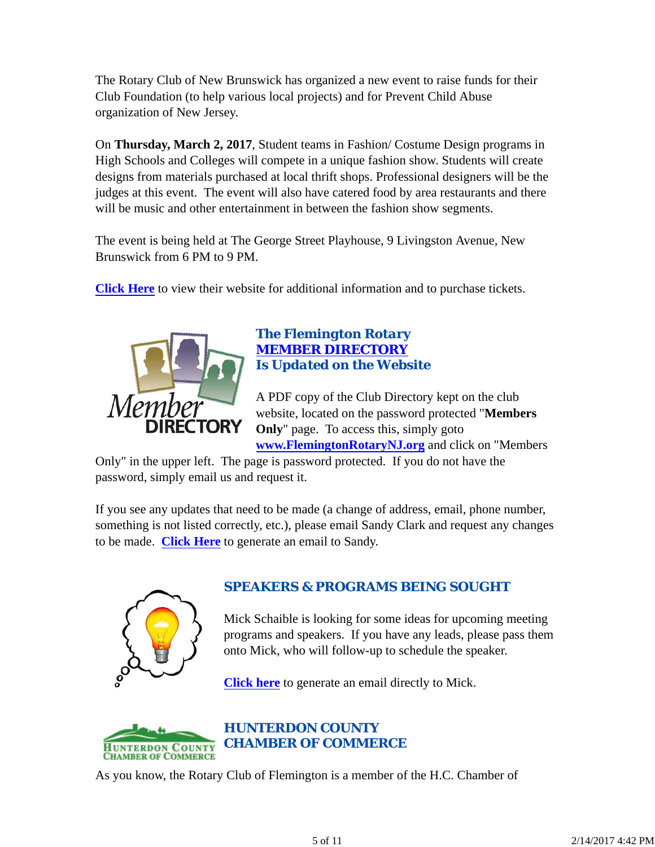The Rotary Club of New Brunswick has organized a new event to raise funds for their Club Foundation (to help various local projects) and for Prevent Child Abuse organization of New Jersey.

On **Thursday, March 2, 2017**, Student teams in Fashion/ Costume Design programs in High Schools and Colleges will compete in a unique fashion show. Students will create designs from materials purchased at local thrift shops. Professional designers will be the judges at this event. The event will also have catered food by area restaurants and there will be music and other entertainment in between the fashion show segments.

The event is being held at The George Street Playhouse, 9 Livingston Avenue, New Brunswick from 6 PM to 9 PM.

**Click Here** to view their website for additional information and to purchase tickets.



# *The Flemington Rotary MEMBER DIRECTORY Is Updated on the Website*

A PDF copy of the Club Directory kept on the club website, located on the password protected "**Members Only**" page. To access this, simply goto **www.FlemingtonRotaryNJ.org** and click on "Members

Only" in the upper left. The page is password protected. If you do not have the password, simply email us and request it.

If you see any updates that need to be made (a change of address, email, phone number, something is not listed correctly, etc.), please email Sandy Clark and request any changes to be made. **Click Here** to generate an email to Sandy.



# *SPEAKERS & PROGRAMS BEING SOUGHT*

Mick Schaible is looking for some ideas for upcoming meeting programs and speakers. If you have any leads, please pass them onto Mick, who will follow-up to schedule the speaker.

**Click here** to generate an email directly to Mick.



# *HUNTERDON COUNTY CHAMBER OF COMMERCE*

As you know, the Rotary Club of Flemington is a member of the H.C. Chamber of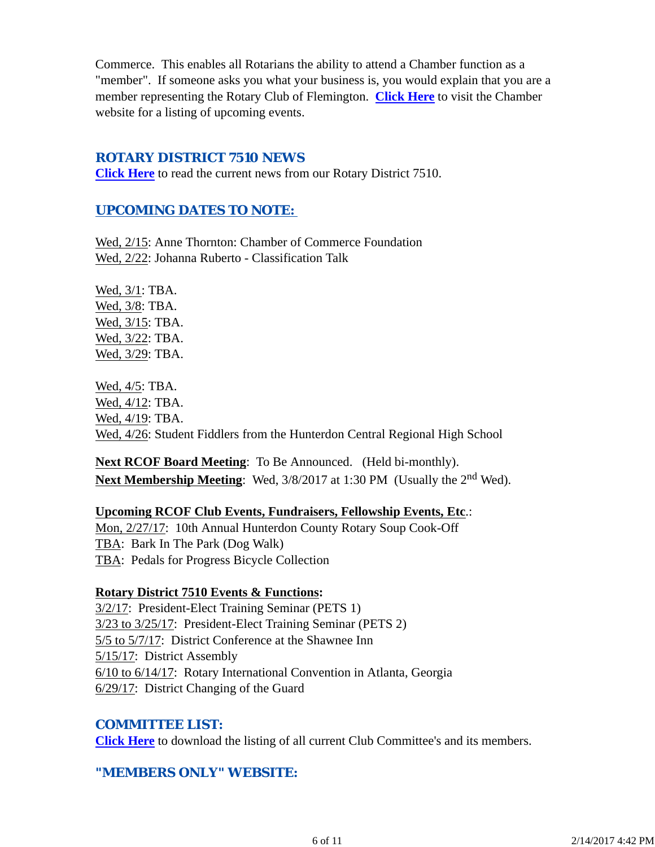Commerce. This enables all Rotarians the ability to attend a Chamber function as a "member". If someone asks you what your business is, you would explain that you are a member representing the Rotary Club of Flemington. **Click Here** to visit the Chamber website for a listing of upcoming events.

#### *ROTARY DISTRICT 7510 NEWS*

**Click Here** to read the current news from our Rotary District 7510.

### *UPCOMING DATES TO NOTE:*

Wed, 2/15: Anne Thornton: Chamber of Commerce Foundation Wed, 2/22: Johanna Ruberto - Classification Talk

Wed, 3/1: TBA. Wed, 3/8: TBA. Wed, 3/15: TBA. Wed, 3/22: TBA. Wed, 3/29: TBA.

Wed, 4/5: TBA. Wed, 4/12: TBA. Wed, 4/19: TBA. Wed, 4/26: Student Fiddlers from the Hunterdon Central Regional High School

**Next RCOF Board Meeting**: To Be Announced. (Held bi-monthly). **Next Membership Meeting:** Wed,  $3/8/2017$  at 1:30 PM (Usually the 2<sup>nd</sup> Wed).

**Upcoming RCOF Club Events, Fundraisers, Fellowship Events, Etc**.: Mon, 2/27/17: 10th Annual Hunterdon County Rotary Soup Cook-Off TBA: Bark In The Park (Dog Walk) TBA: Pedals for Progress Bicycle Collection

#### **Rotary District 7510 Events & Functions:**

3/2/17: President-Elect Training Seminar (PETS 1) 3/23 to 3/25/17: President-Elect Training Seminar (PETS 2) 5/5 to 5/7/17: District Conference at the Shawnee Inn 5/15/17: District Assembly 6/10 to 6/14/17: Rotary International Convention in Atlanta, Georgia 6/29/17: District Changing of the Guard

#### *COMMITTEE LIST:*

**Click Here** to download the listing of all current Club Committee's and its members.

## *"MEMBERS ONLY" WEBSITE:*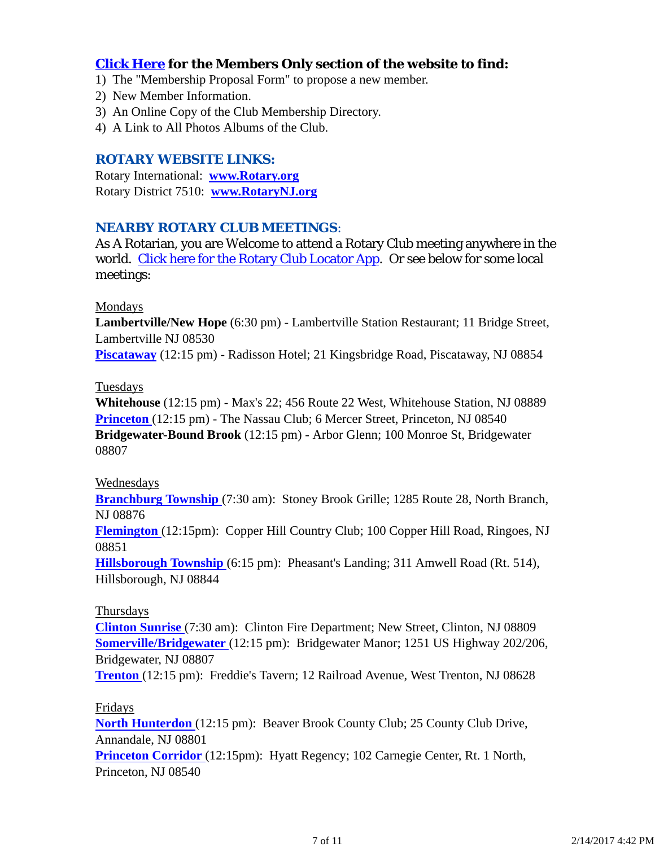## **Click Here for the Members Only section of the website to find:**

- 1) The "Membership Proposal Form" to propose a new member.
- 2) New Member Information.
- 3) An Online Copy of the Club Membership Directory.
- 4) A Link to All Photos Albums of the Club.

#### *ROTARY WEBSITE LINKS:*

Rotary International: **www.Rotary.org** Rotary District 7510: **www.RotaryNJ.org**

#### *NEARBY ROTARY CLUB MEETINGS:*

As A Rotarian, you are Welcome to attend a Rotary Club meeting anywhere in the world. Click here for the Rotary Club Locator App. Or see below for some local meetings:

#### Mondays

**Lambertville/New Hope** (6:30 pm) - Lambertville Station Restaurant; 11 Bridge Street, Lambertville NJ 08530

**Piscataway** (12:15 pm) - Radisson Hotel; 21 Kingsbridge Road, Piscataway, NJ 08854

#### Tuesdays

**Whitehouse** (12:15 pm) - Max's 22; 456 Route 22 West, Whitehouse Station, NJ 08889 **Princeton** (12:15 pm) - The Nassau Club; 6 Mercer Street, Princeton, NJ 08540 **Bridgewater-Bound Brook** (12:15 pm) - Arbor Glenn; 100 Monroe St, Bridgewater 08807

#### Wednesdays

**Branchburg Township** (7:30 am): Stoney Brook Grille; 1285 Route 28, North Branch, NJ 08876

**Flemington** (12:15pm): Copper Hill Country Club; 100 Copper Hill Road, Ringoes, NJ 08851

**Hillsborough Township** (6:15 pm): Pheasant's Landing; 311 Amwell Road (Rt. 514), Hillsborough, NJ 08844

#### Thursdays

**Clinton Sunrise** (7:30 am): Clinton Fire Department; New Street, Clinton, NJ 08809 **Somerville/Bridgewater** (12:15 pm): Bridgewater Manor; 1251 US Highway 202/206, Bridgewater, NJ 08807

**Trenton** (12:15 pm): Freddie's Tavern; 12 Railroad Avenue, West Trenton, NJ 08628

#### Fridays

**North Hunterdon** (12:15 pm): Beaver Brook County Club; 25 County Club Drive, Annandale, NJ 08801

**Princeton Corridor** (12:15pm): Hyatt Regency; 102 Carnegie Center, Rt. 1 North, Princeton, NJ 08540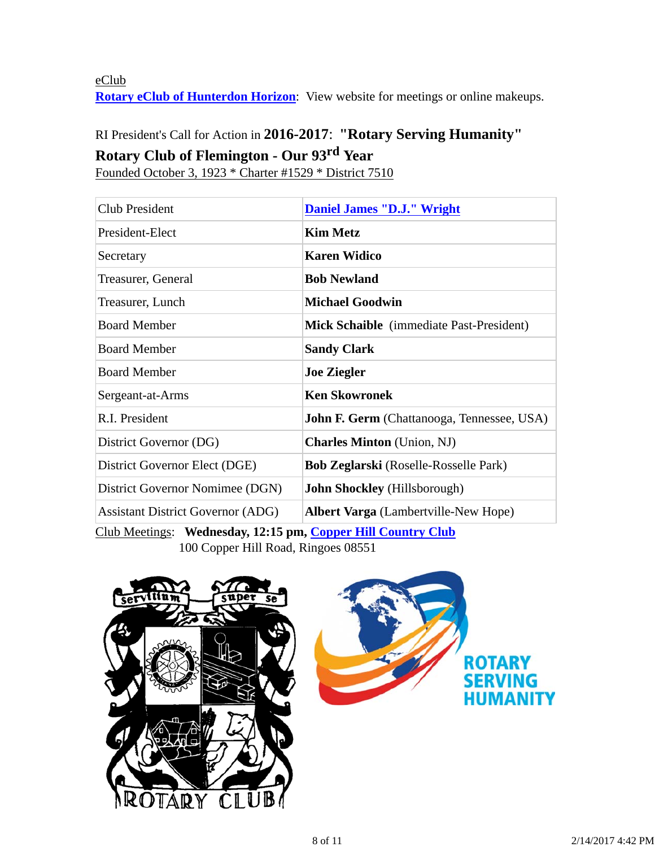eClub **Rotary eClub of Hunterdon Horizon**: View website for meetings or online makeups.

# RI President's Call for Action in **2016-2017**: **"Rotary Serving Humanity" Rotary Club of Flemington - Our 93rd Year**

Founded October 3, 1923 \* Charter #1529 \* District 7510

| <b>Club President</b>                                                                                                                                                                                                                                                                                                                                         | <b>Daniel James "D.J." Wright</b>                 |  |
|---------------------------------------------------------------------------------------------------------------------------------------------------------------------------------------------------------------------------------------------------------------------------------------------------------------------------------------------------------------|---------------------------------------------------|--|
| President-Elect                                                                                                                                                                                                                                                                                                                                               | <b>Kim Metz</b>                                   |  |
| Secretary                                                                                                                                                                                                                                                                                                                                                     | <b>Karen Widico</b>                               |  |
| Treasurer, General                                                                                                                                                                                                                                                                                                                                            | <b>Bob Newland</b>                                |  |
| Treasurer, Lunch                                                                                                                                                                                                                                                                                                                                              | <b>Michael Goodwin</b>                            |  |
| <b>Board Member</b>                                                                                                                                                                                                                                                                                                                                           | Mick Schaible (immediate Past-President)          |  |
| <b>Board Member</b>                                                                                                                                                                                                                                                                                                                                           | <b>Sandy Clark</b>                                |  |
| <b>Board Member</b>                                                                                                                                                                                                                                                                                                                                           | <b>Joe Ziegler</b>                                |  |
| Sergeant-at-Arms                                                                                                                                                                                                                                                                                                                                              | <b>Ken Skowronek</b>                              |  |
| R.I. President                                                                                                                                                                                                                                                                                                                                                | <b>John F. Germ</b> (Chattanooga, Tennessee, USA) |  |
| District Governor (DG)                                                                                                                                                                                                                                                                                                                                        | <b>Charles Minton</b> (Union, NJ)                 |  |
| District Governor Elect (DGE)                                                                                                                                                                                                                                                                                                                                 | <b>Bob Zeglarski</b> (Roselle-Rosselle Park)      |  |
| District Governor Nomimee (DGN)                                                                                                                                                                                                                                                                                                                               | <b>John Shockley</b> (Hillsborough)               |  |
| <b>Assistant District Governor (ADG)</b>                                                                                                                                                                                                                                                                                                                      | <b>Albert Varga</b> (Lambertville-New Hope)       |  |
| $C1 1 M$ $T1 1 1 4A 4F$<br>$\mathbf{r}$ $\mathbf{r}$ $\mathbf{r}$ $\mathbf{r}$ $\mathbf{r}$ $\mathbf{r}$ $\mathbf{r}$ $\mathbf{r}$ $\mathbf{r}$ $\mathbf{r}$ $\mathbf{r}$ $\mathbf{r}$ $\mathbf{r}$ $\mathbf{r}$ $\mathbf{r}$ $\mathbf{r}$ $\mathbf{r}$ $\mathbf{r}$ $\mathbf{r}$ $\mathbf{r}$ $\mathbf{r}$ $\mathbf{r}$ $\mathbf{r}$ $\mathbf{r}$ $\mathbf{$ |                                                   |  |

Club Meetings: **Wednesday, 12:15 pm, Copper Hill Country Club** 100 Copper Hill Road, Ringoes 08551

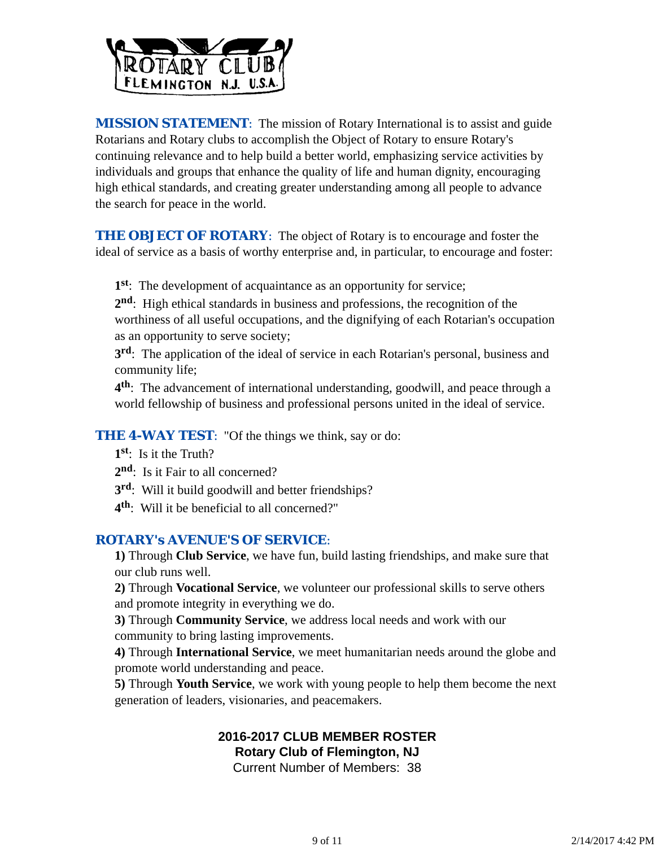

*MISSION STATEMENT*: The mission of Rotary International is to assist and guide Rotarians and Rotary clubs to accomplish the Object of Rotary to ensure Rotary's continuing relevance and to help build a better world, emphasizing service activities by individuals and groups that enhance the quality of life and human dignity, encouraging high ethical standards, and creating greater understanding among all people to advance the search for peace in the world.

**THE OBJECT OF ROTARY:** The object of Rotary is to encourage and foster the ideal of service as a basis of worthy enterprise and, in particular, to encourage and foster:

**1st**: The development of acquaintance as an opportunity for service;

**2nd**: High ethical standards in business and professions, the recognition of the worthiness of all useful occupations, and the dignifying of each Rotarian's occupation as an opportunity to serve society;

**3rd**: The application of the ideal of service in each Rotarian's personal, business and community life;

**4th**: The advancement of international understanding, goodwill, and peace through a world fellowship of business and professional persons united in the ideal of service.

**THE 4-WAY TEST:** "Of the things we think, say or do:

- **1st**: Is it the Truth?
- 2<sup>nd</sup>: Is it Fair to all concerned?
- **3rd**: Will it build goodwill and better friendships?
- **4th**: Will it be beneficial to all concerned?"

#### *ROTARY's AVENUE'S OF SERVICE*:

**1)** Through **Club Service**, we have fun, build lasting friendships, and make sure that our club runs well.

**2)** Through **Vocational Service**, we volunteer our professional skills to serve others and promote integrity in everything we do.

**3)** Through **Community Service**, we address local needs and work with our community to bring lasting improvements.

**4)** Through **International Service**, we meet humanitarian needs around the globe and promote world understanding and peace.

**5)** Through **Youth Service**, we work with young people to help them become the next generation of leaders, visionaries, and peacemakers.

# **2016-2017 CLUB MEMBER ROSTER Rotary Club of Flemington, NJ**

Current Number of Members: 38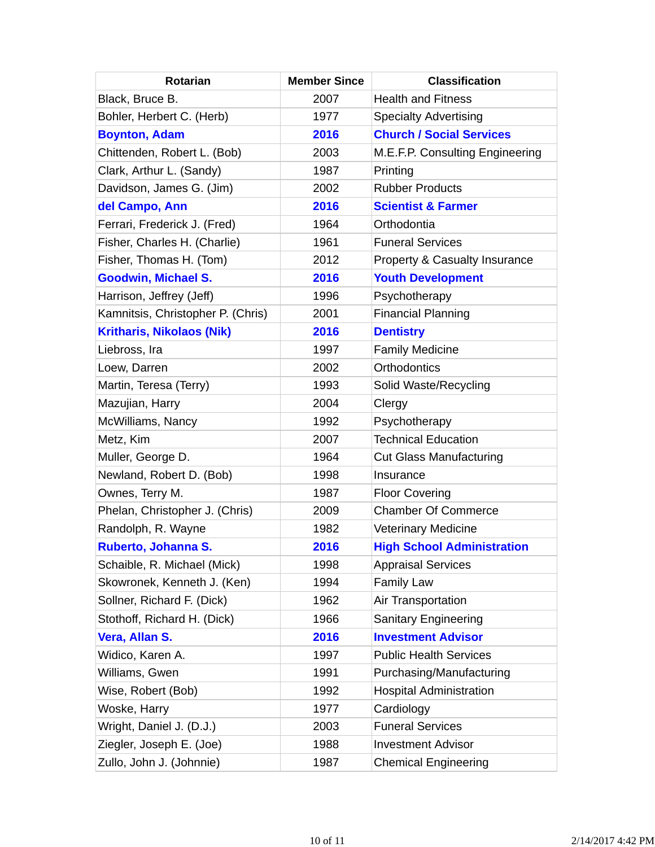| <b>Rotarian</b>                   | <b>Member Since</b> | <b>Classification</b>             |
|-----------------------------------|---------------------|-----------------------------------|
| Black, Bruce B.                   | 2007                | <b>Health and Fitness</b>         |
| Bohler, Herbert C. (Herb)         | 1977                | <b>Specialty Advertising</b>      |
| <b>Boynton, Adam</b>              | 2016                | <b>Church / Social Services</b>   |
| Chittenden, Robert L. (Bob)       | 2003                | M.E.F.P. Consulting Engineering   |
| Clark, Arthur L. (Sandy)          | 1987                | Printing                          |
| Davidson, James G. (Jim)          | 2002                | <b>Rubber Products</b>            |
| del Campo, Ann                    | 2016                | <b>Scientist &amp; Farmer</b>     |
| Ferrari, Frederick J. (Fred)      | 1964                | Orthodontia                       |
| Fisher, Charles H. (Charlie)      | 1961                | <b>Funeral Services</b>           |
| Fisher, Thomas H. (Tom)           | 2012                | Property & Casualty Insurance     |
| <b>Goodwin, Michael S.</b>        | 2016                | <b>Youth Development</b>          |
| Harrison, Jeffrey (Jeff)          | 1996                | Psychotherapy                     |
| Kamnitsis, Christopher P. (Chris) | 2001                | <b>Financial Planning</b>         |
| <b>Kritharis, Nikolaos (Nik)</b>  | 2016                | <b>Dentistry</b>                  |
| Liebross, Ira                     | 1997                | <b>Family Medicine</b>            |
| Loew, Darren                      | 2002                | Orthodontics                      |
| Martin, Teresa (Terry)            | 1993                | Solid Waste/Recycling             |
| Mazujian, Harry                   | 2004                | Clergy                            |
| McWilliams, Nancy                 | 1992                | Psychotherapy                     |
| Metz, Kim                         | 2007                | <b>Technical Education</b>        |
| Muller, George D.                 | 1964                | <b>Cut Glass Manufacturing</b>    |
| Newland, Robert D. (Bob)          | 1998                | Insurance                         |
| Ownes, Terry M.                   | 1987                | <b>Floor Covering</b>             |
| Phelan, Christopher J. (Chris)    | 2009                | <b>Chamber Of Commerce</b>        |
| Randolph, R. Wayne                | 1982                | <b>Veterinary Medicine</b>        |
| Ruberto, Johanna S.               | 2016                | <b>High School Administration</b> |
| Schaible, R. Michael (Mick)       | 1998                | <b>Appraisal Services</b>         |
| Skowronek, Kenneth J. (Ken)       | 1994                | <b>Family Law</b>                 |
| Sollner, Richard F. (Dick)        | 1962                | Air Transportation                |
| Stothoff, Richard H. (Dick)       | 1966                | <b>Sanitary Engineering</b>       |
| Vera, Allan S.                    | 2016                | <b>Investment Advisor</b>         |
| Widico, Karen A.                  | 1997                | <b>Public Health Services</b>     |
| Williams, Gwen                    | 1991                | Purchasing/Manufacturing          |
| Wise, Robert (Bob)                | 1992                | <b>Hospital Administration</b>    |
| Woske, Harry                      | 1977                | Cardiology                        |
| Wright, Daniel J. (D.J.)          | 2003                | <b>Funeral Services</b>           |
| Ziegler, Joseph E. (Joe)          | 1988                | <b>Investment Advisor</b>         |
| Zullo, John J. (Johnnie)          | 1987                | <b>Chemical Engineering</b>       |